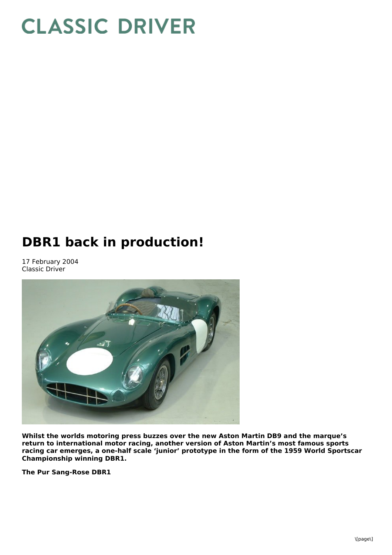# **CLASSIC DRIVER**

## **DBR1 back in production!**

17 February 2004 Classic Driver



**Whilst the worlds motoring press buzzes over the new Aston Martin DB9 and the marque's return to international motor racing, another version of Aston Martin's most famous sports racing car emerges, a one-half scale 'junior' prototype in the form of the 1959 World Sportscar Championship winning DBR1.**

**The Pur Sang-Rose DBR1**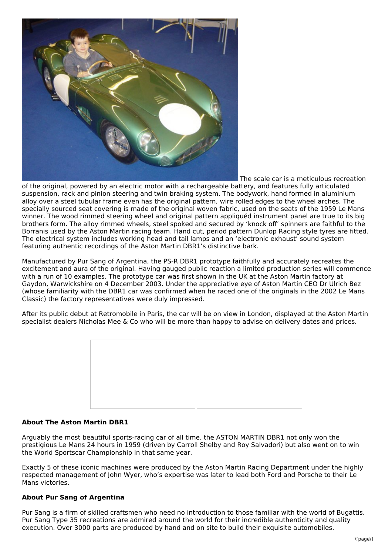

The scale car is a meticulous recreation

of the original, powered by an electric motor with a rechargeable battery, and features fully articulated suspension, rack and pinion steering and twin braking system. The bodywork, hand formed in aluminium alloy over a steel tubular frame even has the original pattern, wire rolled edges to the wheel arches. The specially sourced seat covering is made of the original woven fabric, used on the seats of the 1959 Le Mans winner. The wood rimmed steering wheel and original pattern appliquéd instrument panel are true to its big brothers form. The alloy rimmed wheels, steel spoked and secured by 'knock off' spinners are faithful to the Borranis used by the Aston Martin racing team. Hand cut, period pattern Dunlop Racing style tyres are fitted. The electrical system includes working head and tail lamps and an 'electronic exhaust' sound system featuring authentic recordings of the Aston Martin DBR1's distinctive bark.

Manufactured by Pur Sang of Argentina, the PS-R DBR1 prototype faithfully and accurately recreates the excitement and aura of the original. Having gauged public reaction a limited production series will commence with a run of 10 examples. The prototype car was first shown in the UK at the Aston Martin factory at Gaydon, Warwickshire on 4 December 2003. Under the appreciative eye of Aston Martin CEO Dr Ulrich Bez (whose familiarity with the DBR1 car was confirmed when he raced one of the originals in the 2002 Le Mans Classic) the factory representatives were duly impressed.

After its public debut at Retromobile in Paris, the car will be on view in London, displayed at the Aston Martin specialist dealers Nicholas Mee & Co who will be more than happy to advise on delivery dates and prices.



#### **About The Aston Martin DBR1**

Arguably the most beautiful sports-racing car of all time, the ASTON MARTIN DBR1 not only won the prestigious Le Mans 24 hours in 1959 (driven by Carroll Shelby and Roy Salvadori) but also went on to win the World Sportscar Championship in that same year.

Exactly 5 of these iconic machines were produced by the Aston Martin Racing Department under the highly respected management of John Wyer, who's expertise was later to lead both Ford and Porsche to their Le Mans victories.

#### **About Pur Sang of Argentina**

Pur Sang is a firm of skilled craftsmen who need no introduction to those familiar with the world of Bugattis. Pur Sang Type 35 recreations are admired around the world for their incredible authenticity and quality execution. Over 3000 parts are produced by hand and on site to build their exquisite automobiles.